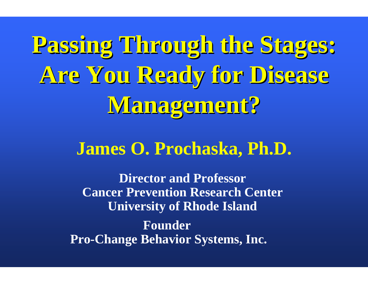**Passing Through the Stages: Passing Through the Stages: Are You Ready for Disease Are You Ready for Disease Management? Management?**

### **James O. Prochaska, Ph.D.**

**Founder Pro-Change Behavior Systems, Inc. Director and ProfessorCancer Prevention Research Center University of Rhode Island**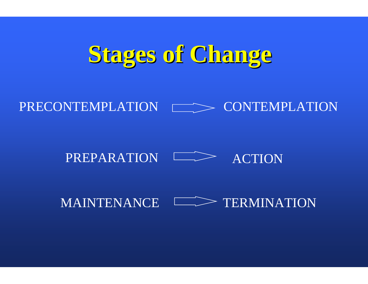# **Stages of Change Stages of Change**

### PRECONTEMPLATION  $\Box$  CONTEMPLATION

### PREPARATION  $\longmapsto$  action

### MAINTENANCE  $\Box$  TERMINATION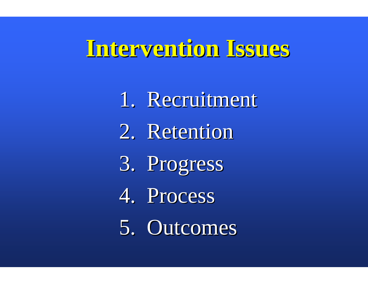### **Intervention Issues Intervention Issues**

1. Recruitment 2. Retention 3. Progress 3. Progress 4. Process 5. Outcomes 5. Outcomes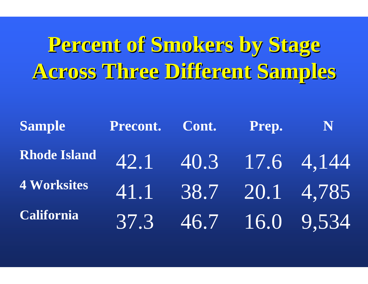# **Percent of Smokers by Stage Percent of Smokers by Stage Across Three Different Samples Across Three Different Samples**

| <b>Sample</b>                     | Precont. Cont. Prep. |  | N                    |
|-----------------------------------|----------------------|--|----------------------|
| Rhode Island 42.1 40.3 17.6 4,144 |                      |  |                      |
| <b>4 Worksites</b>                |                      |  | 41.1 38.7 20.1 4,785 |
| <b>California</b>                 |                      |  | 37.3 46.7 16.0 9,534 |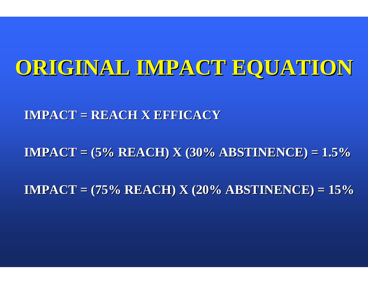### **ORIGINAL IMPACT EQUATION ORIGINAL IMPACT EQUATION**

**IMPACT = REACH X EFFICACY IMPACT = REACH X EFFICACY**

**IMPACT = (5% REACH) X (30% ABSTINENCE) = 1.5% IMPACT = (5% REACH) X (30% ABSTINENCE) = 1.5%**

**IMPACT = (75% REACH) X (20% ABSTINENCE) = 15% IMPACT = (75% REACH) X (20% ABSTINENCE) = 15%**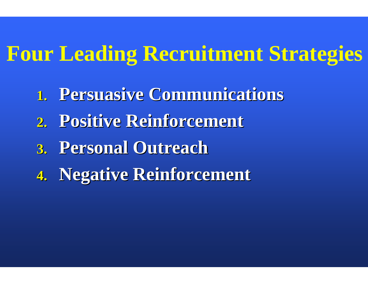### **Four Leading Recruitment Strategies**

- **1. Persuasive Communications**
- **2. Positive Reinforcement Positive Reinforcement**
- **3. Personal Outreach Personal Outreach**
- **4. Negative Reinforcement Negative Reinforcement**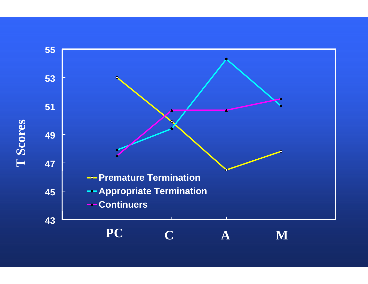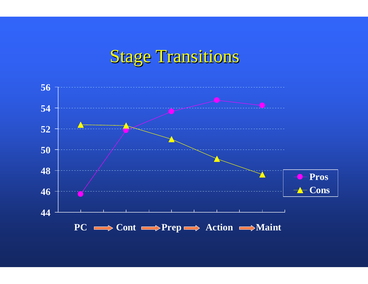### Stage Transitions

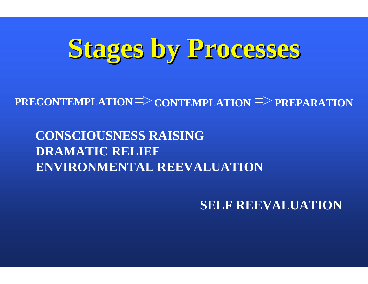# **Stages by Processes Stages by Processes**

### $\text{PRECONTEMPLATION} \text{---} \text{CONTEMPLAN} \text{---} \text{PREPARATION}$

### **CONSCIOUSNESS RAISING DRAMATIC RELIEFENVIRONMENTAL REEVALUATION**

**SELF REEVALUATION**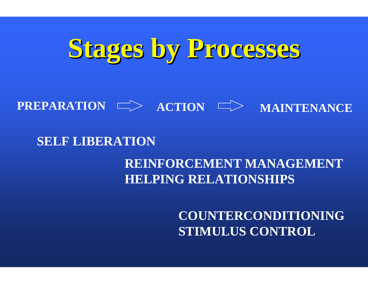# **Stages by Processes Stages by Processes**

#### $\mathsf{PREPARTION} \implies \mathsf{ACTION}$ **MAINTENANCE**

### **SELF LIBERATION**

### **REINFORCEMENT MANAGEMENTHELPING RELATIONSHIPS**

**COUNTERCONDITIONING STIMULUS CONTROL**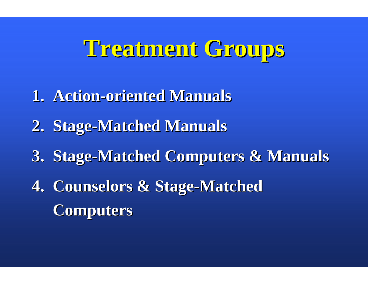# **Treatment Groups Treatment Groups**

- **1. Action 1. Action-oriented Manuals oriented Manuals**
- **2. Stage-Matched Manuals**
- **3. Stage-Matched Computers & Manuals**
- **4. Counselors & Stage-Matched Computers Computers**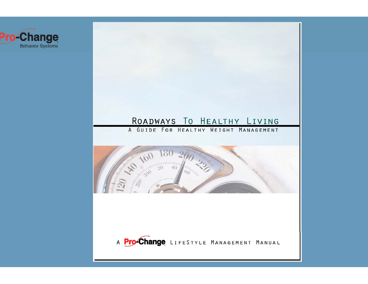

# ROADWAYS TO HEALTHY LIVING A GUIDE FOR HEALTHY WEIGHT MANAGEMENT **160 180 40** A Pro-Change LIFESTYLE MANAGEMENT MANUAL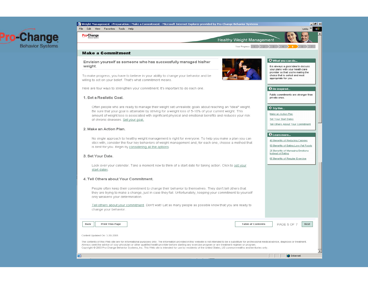

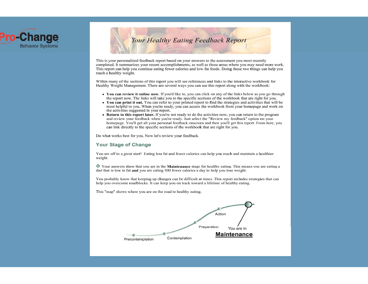



This is your personalized feedback report based on your answers to the assessment you most recently completed. It summarizes your recent accomplishments, as well as those areas where you may need more work. This report can help you continue eating fewer calories and low-fat foods. Doing these two things can help you reach a healthy weight.

Within many of the sections of this report you will see references and links to the interactive workbook for Healthy Weight Management. There are several ways you can use this report along with the workbook:

- You can review it online now. If you'd like to, you can click on any of the links below as you go through the report now. The links will take you to the specific sections of the workbook that are right for you.
- You can print it out. You can refer to your printed report to find the strategies and activities that will be most helpful to you. When you're ready, you can access the workbook from your homepage and work on the activities suggested in your report.
- Return to this report later. If you're not ready to do the activities now, you can return to the program and review your feedback when you're ready. Just select the "Review my feedback" option on your homepage. You'll get all your personal feedback onscreen and then you'll get this report. From here, you can link directly to the specific sections of the workbook that are right for you.

Do what works best for you. Now let's review your feedback.

#### **Your Stage of Change**

You are off to a great start! Eating less fat and fewer calories can help you reach and maintain a healthier weight.

○ Your answers show that you are in the **Maintenance** stage for healthy eating. This means you are eating a diet that is low in fat and you are eating 500 fewer calories a day to help you lose weight.

You probably know that keeping up changes can be difficult at times. This report includes strategies that can help you overcome roadblocks. It can keep you on track toward a lifetime of healthy eating.

This "map" shows where you are on the road to healthy eating.

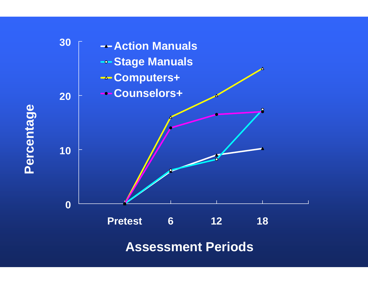

**Assessment Periods**

Percentage **Percentage**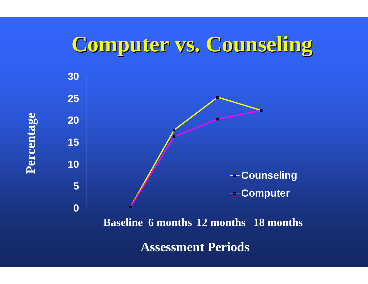### **Computer vs. Counseling Computer vs. Counseling**



**Assessment Periods**

Percentage **Percentage**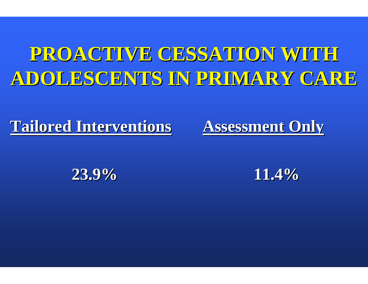# PROACTIVE CESSATION WITH **ADOLESCENTS IN PRIMARY CARE ADOLESCENTS IN PRIMARY CARE**

**Tailored Interventions Tailored Interventions**

**Assessment Only Assessment Only**

**23.9%**

**11.4%**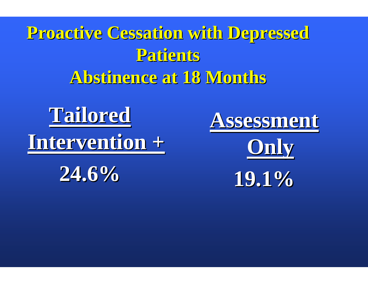**Proactive Cessation with Depressed Proactive Cessation with Depressed Patients Patients Abstinence at 18 Months Abstinence at 18 Months**



**24.6%**





**19.1%**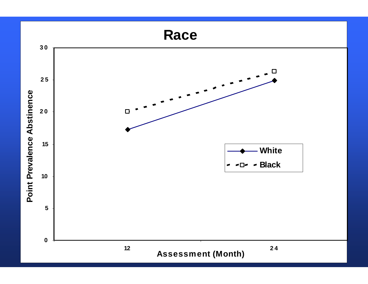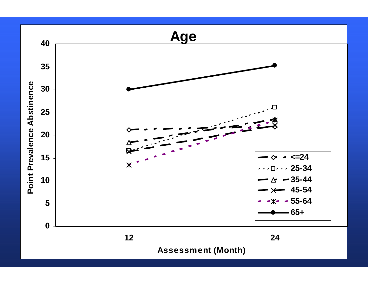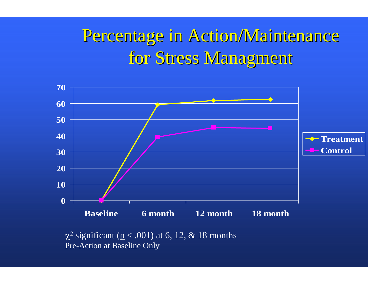### Percentage in Action/Maintenance Percentage in Action/Maintenance for Stress Managment



 $\chi^2$  significant (p < .001) at 6, 12, & 18 months Pre-Action at Baseline Only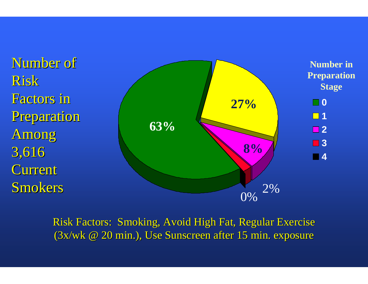

Risk Factors: Smoking, Avoid High Fat, Regular Exercise  $(3x/wk \tQ 20 min.)$ , Use Sunscreen after 15 min. exposure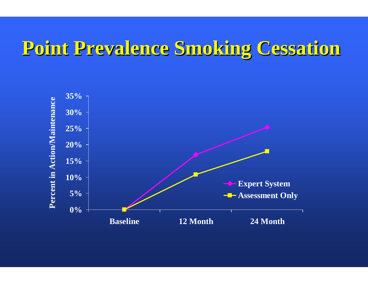### **Point Prevalence Smoking Cessation Point Prevalence Smoking Cessation**

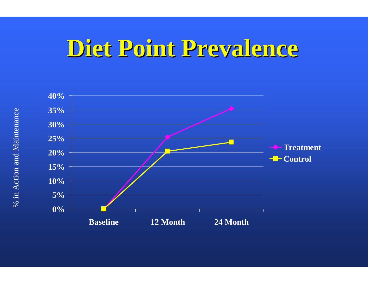# **Diet Point Prevalence Diet Point Prevalence**

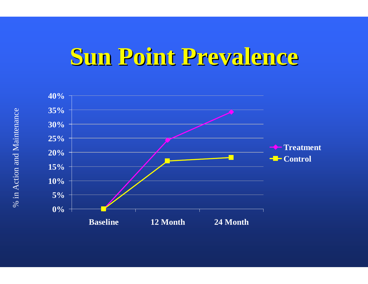# **Sun Point Prevalence Sun Point Prevalence**

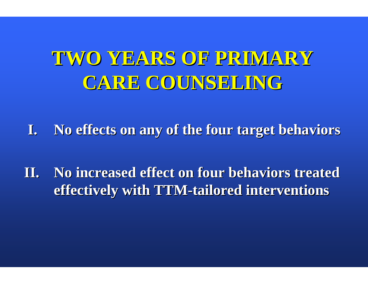# **TWO YEARS OF PRIMARY TWO YEARS OF PRIMARY CARE COUNSELING CARE COUNSELING**

**I.** No effects on any of the four target behaviors

**II.** No increased effect on four behaviors treated **effectively with TTM effectively with TTM -tailored interventions tailored interventions**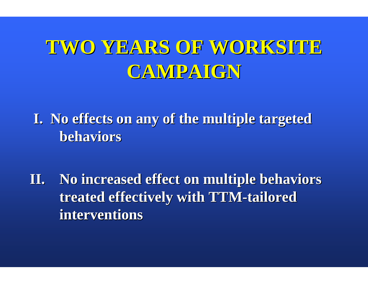### TWO YEARS OF WORKSITE **CAMPAIGN CAMPAIGN**

I. No effects on any of the multiple targeted **behaviors behaviors**

**II.** No increased effect on multiple behaviors **treated effectively with TTM treated effectively with TTM -tailored tailored interventions interventions**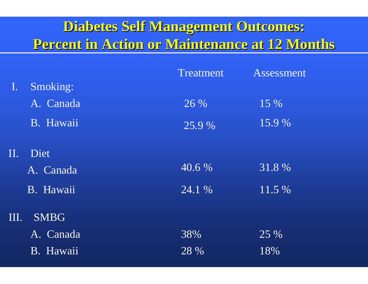### **Diabetes Self Management Outcomes: Diabetes Self Management Outcomes: Percent in Action or Maintenance at 12 Months Percent in Action or Maintenance at 12 Months**

| Treatment | Assessment |
|-----------|------------|
|           |            |
| 26 %      | 15 %       |
| 25.9 %    | 15.9 %     |
|           |            |
| 40.6 %    | 31.8 %     |
| 24.1 %    | 11.5 %     |
|           |            |
| 38%       | 25 %       |
| 28 %      | 18%        |
|           |            |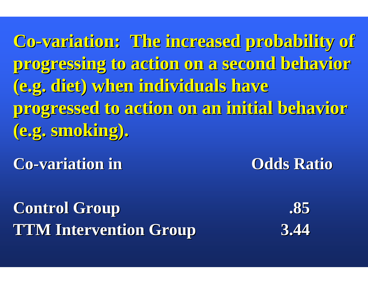**Co-variation: The increased probability of variation: The increased probability of progressing to action on a second behavior progressing to action on a second behavior (e.g. diet) when individuals have (e.g. diet) when individuals have progressed to action on an initial behavior progressed to action on an initial behavior (e.g. smoking). (e.g. smoking).**

**Co-variation in variation in Odds Ratio Odds Ratio**

**Control Group Control Group .85 TTM Intervention Group TTM Intervention Group 3.44**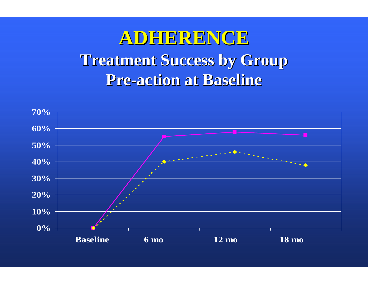### **ADHERENCE ADHERENCE Treatment Success by Group Treatment Success by Group Pre -action at Baseline action at Baseline**

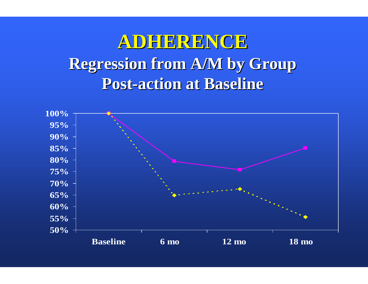### **ADHERENCE ADHERENCE Regression from A/M by Group Regression from A/M by Group Post-action at Baseline**

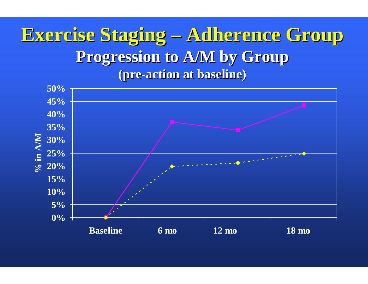### **Exercise Staging Exercise Staging Adherence Group Adherence Group**  Progression to **A/M** by Group **(pre -action at baseline) action at baseline)**

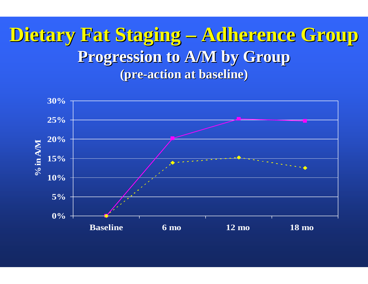### **Dietary Fat Staging Dietary Fat Staging Adherence Group Adherence Group** Progression to **A/M** by Group **(pre -action at baseline) action at baseline)**

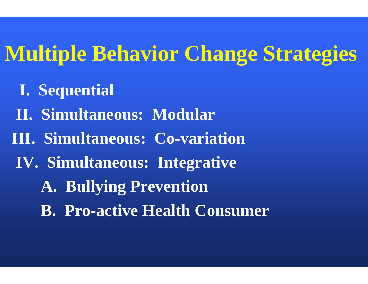# **Multiple Behavior Change Strategies**

- **I. Sequential**
- **II. Simultaneous: Modular**
- **III. Simultaneous: Co-variation**
- **IV. Simultaneous: Integrative**
	- **A. Bullying Prevention**
	- **B. Pro-active Health Consumer**